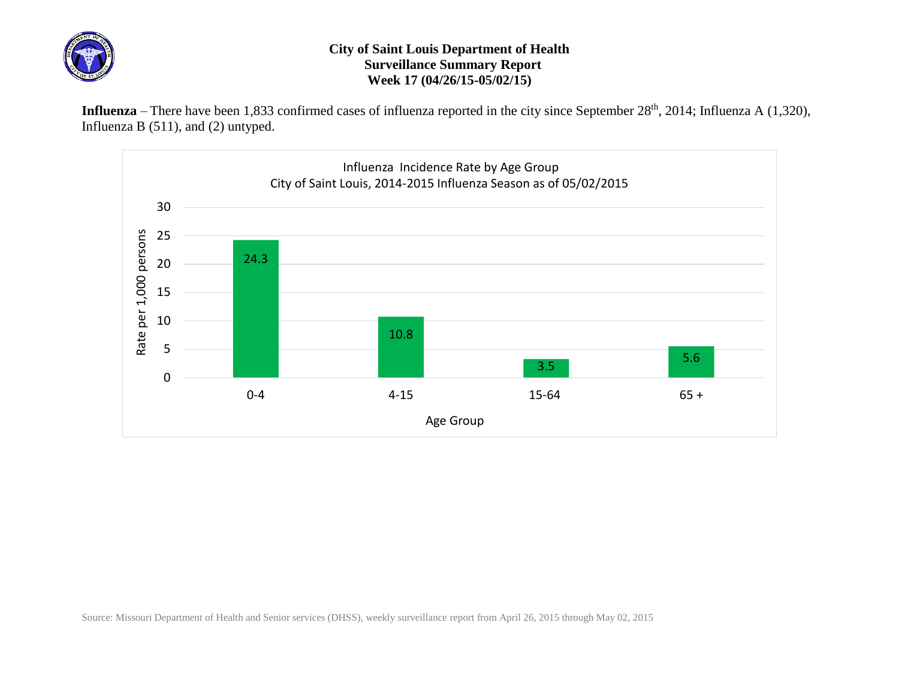

## **City of Saint Louis Department of Health Surveillance Summary Report Week 17 (04/26/15-05/02/15)**

Influenza – There have been 1,833 confirmed cases of influenza reported in the city since September 28<sup>th</sup>, 2014; Influenza A (1,320), Influenza B (511), and (2) untyped.